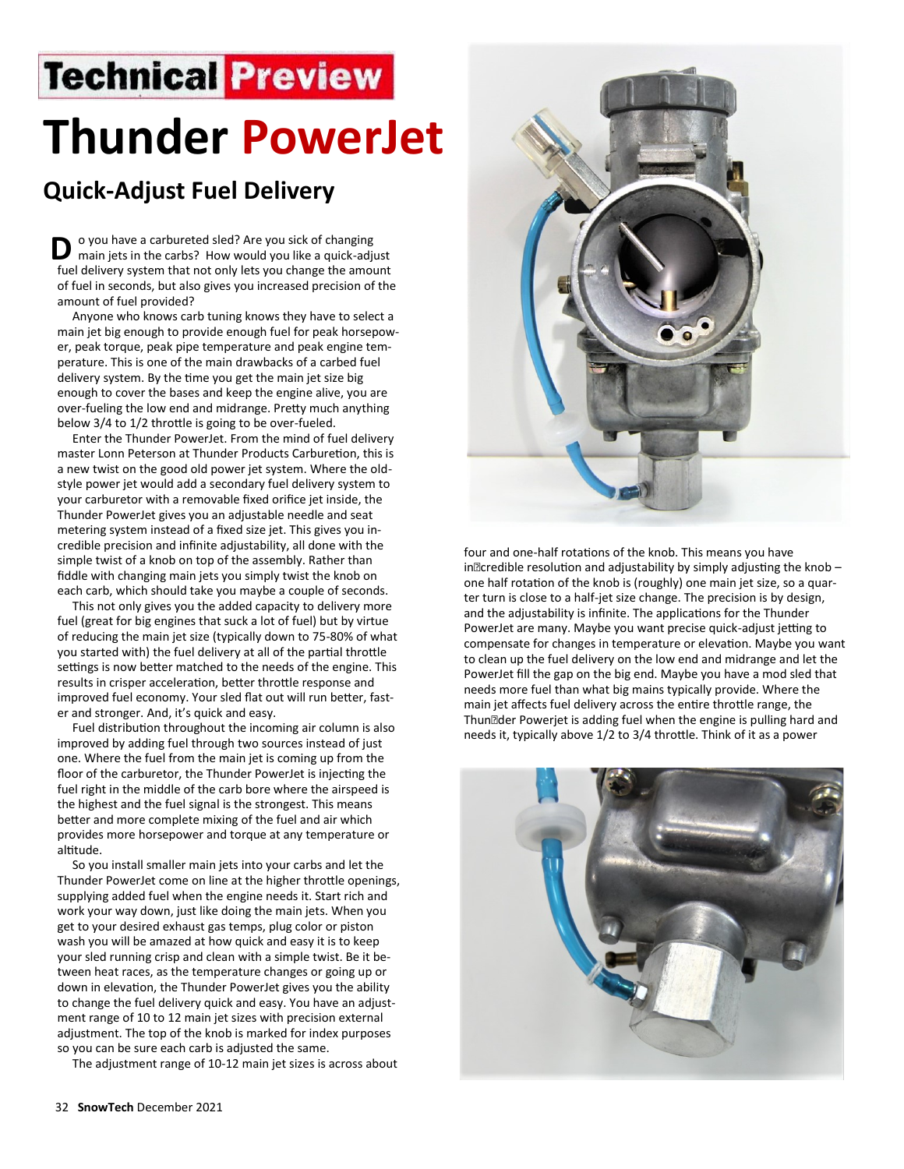## **Technical Preview Thunder PowerJet**

## **Quick-Adjust Fuel Delivery**

o you have a carbureted sled? Are you sick of changing **D** o you have a carbureted sled? Are you sick of changing<br>main jets in the carbs? How would you like a quick-adjust fuel delivery system that not only lets you change the amount of fuel in seconds, but also gives you increased precision of the amount of fuel provided?

 Anyone who knows carb tuning knows they have to select a main jet big enough to provide enough fuel for peak horsepower, peak torque, peak pipe temperature and peak engine temperature. This is one of the main drawbacks of a carbed fuel delivery system. By the time you get the main jet size big enough to cover the bases and keep the engine alive, you are over-fueling the low end and midrange. Pretty much anything below 3/4 to 1/2 throttle is going to be over-fueled.

 Enter the Thunder PowerJet. From the mind of fuel delivery master Lonn Peterson at Thunder Products Carburetion, this is a new twist on the good old power jet system. Where the oldstyle power jet would add a secondary fuel delivery system to your carburetor with a removable fixed orifice jet inside, the Thunder PowerJet gives you an adjustable needle and seat metering system instead of a fixed size jet. This gives you incredible precision and infinite adjustability, all done with the simple twist of a knob on top of the assembly. Rather than fiddle with changing main jets you simply twist the knob on each carb, which should take you maybe a couple of seconds.

 This not only gives you the added capacity to delivery more fuel (great for big engines that suck a lot of fuel) but by virtue of reducing the main jet size (typically down to 75-80% of what you started with) the fuel delivery at all of the partial throttle settings is now better matched to the needs of the engine. This results in crisper acceleration, better throttle response and improved fuel economy. Your sled flat out will run better, faster and stronger. And, it's quick and easy.

 Fuel distribution throughout the incoming air column is also improved by adding fuel through two sources instead of just one. Where the fuel from the main jet is coming up from the floor of the carburetor, the Thunder PowerJet is injecting the fuel right in the middle of the carb bore where the airspeed is the highest and the fuel signal is the strongest. This means better and more complete mixing of the fuel and air which provides more horsepower and torque at any temperature or altitude.

 So you install smaller main jets into your carbs and let the Thunder PowerJet come on line at the higher throttle openings, supplying added fuel when the engine needs it. Start rich and work your way down, just like doing the main jets. When you get to your desired exhaust gas temps, plug color or piston wash you will be amazed at how quick and easy it is to keep your sled running crisp and clean with a simple twist. Be it between heat races, as the temperature changes or going up or down in elevation, the Thunder PowerJet gives you the ability to change the fuel delivery quick and easy. You have an adjustment range of 10 to 12 main jet sizes with precision external adjustment. The top of the knob is marked for index purposes so you can be sure each carb is adjusted the same.

The adjustment range of 10-12 main jet sizes is across about



four and one-half rotations of the knob. This means you have in $\mathbb Z$ credible resolution and adjustability by simply adjusting the knob  $$ one half rotation of the knob is (roughly) one main jet size, so a quarter turn is close to a half-jet size change. The precision is by design, and the adjustability is infinite. The applications for the Thunder PowerJet are many. Maybe you want precise quick-adjust jetting to compensate for changes in temperature or elevation. Maybe you want to clean up the fuel delivery on the low end and midrange and let the PowerJet fill the gap on the big end. Maybe you have a mod sled that needs more fuel than what big mains typically provide. Where the main jet affects fuel delivery across the entire throttle range, the Thun<sup>o</sup>der Powerjet is adding fuel when the engine is pulling hard and needs it, typically above 1/2 to 3/4 throttle. Think of it as a power